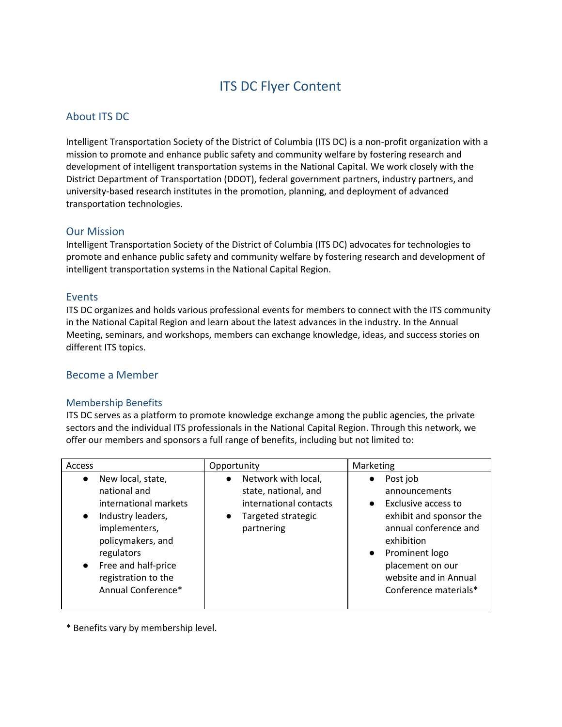# ITS DC Flyer Content

# About ITS DC

Intelligent Transportation Society of the District of Columbia (ITS DC) is a non-profit organization with a mission to promote and enhance public safety and community welfare by fostering research and development of intelligent transportation systems in the National Capital. We work closely with the District Department of Transportation (DDOT), federal government partners, industry partners, and university-based research institutes in the promotion, planning, and deployment of advanced transportation technologies.

#### Our Mission

Intelligent Transportation Society of the District of Columbia (ITS DC) advocates for technologies to promote and enhance public safety and community welfare by fostering research and development of intelligent transportation systems in the National Capital Region.

## Events

ITS DC organizes and holds various professional events for members to connect with the ITS community in the National Capital Region and learn about the latest advances in the industry. In the Annual Meeting, seminars, and workshops, members can exchange knowledge, ideas, and success stories on different ITS topics.

## Become a Member

#### Membership Benefits

ITS DC serves as a platform to promote knowledge exchange among the public agencies, the private sectors and the individual ITS professionals in the National Capital Region. Through this network, we offer our members and sponsors a full range of benefits, including but not limited to:

| Access                                                                                                                                                                                                                                         | Opportunity                                                                                                            | Marketing                                                                                                                                                                                                                                         |
|------------------------------------------------------------------------------------------------------------------------------------------------------------------------------------------------------------------------------------------------|------------------------------------------------------------------------------------------------------------------------|---------------------------------------------------------------------------------------------------------------------------------------------------------------------------------------------------------------------------------------------------|
| New local, state,<br>$\bullet$<br>national and<br>international markets<br>Industry leaders,<br>$\bullet$<br>implementers,<br>policymakers, and<br>regulators<br>Free and half-price<br>$\bullet$<br>registration to the<br>Annual Conference* | Network with local,<br>$\bullet$<br>state, national, and<br>international contacts<br>Targeted strategic<br>partnering | Post job<br>$\bullet$<br>announcements<br>Exclusive access to<br>$\bullet$<br>exhibit and sponsor the<br>annual conference and<br>exhibition<br>Prominent logo<br>$\bullet$<br>placement on our<br>website and in Annual<br>Conference materials* |

\* Benefits vary by membership level.